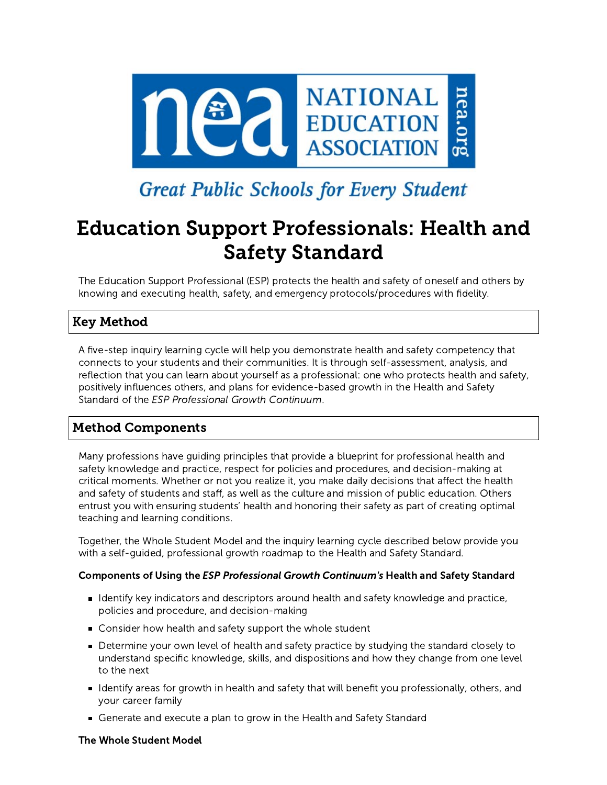

# **Great Public Schools for Every Student**

# Education Support Professionals: Health and Safety Standard

The Education Support Professional (ESP) protects the health and safety of oneself and others by knowing and executing health, safety, and emergency protocols/procedures with fidelity.

## Key Method

A five-step inquiry learning cycle will help you demonstrate health and safety competency that connects to your students and their communities. It is through self-assessment, analysis, and reflection that you can learn about yourself as a professional: one who protects health and safety, positively influences others, and plans for evidence-based growth in the Health and Safety Standard of the ESP Professional Growth Continuum.

## Method Components

Many professions have guiding principles that provide a blueprint for professional health and safety knowledge and practice, respect for policies and procedures, and decision-making at critical moments. Whether or not you realize it, you make daily decisions that affect the health and safety of students and staff, as well as the culture and mission of public education. Others entrust you with ensuring students' health and honoring their safety as part of creating optimal teaching and learning conditions.

Together, the Whole Student Model and the inquiry learning cycle described below provide you with a self-guided, professional growth roadmap to the Health and Safety Standard.

### Components of Using the ESP Professional Growth Continuum's Health and Safety Standard

- Identify key indicators and descriptors around health and safety knowledge and practice, policies and procedure, and decision-making
- Consider how health and safety support the whole student
- **Determine your own level of health and safety practice by studying the standard closely to** understand specific knowledge, skills, and dispositions and how they change from one level to the next
- I dentify areas for growth in health and safety that will benefit you professionally, others, and your career family
- Generate and execute a plan to grow in the Health and Safety Standard

#### The Whole Student Model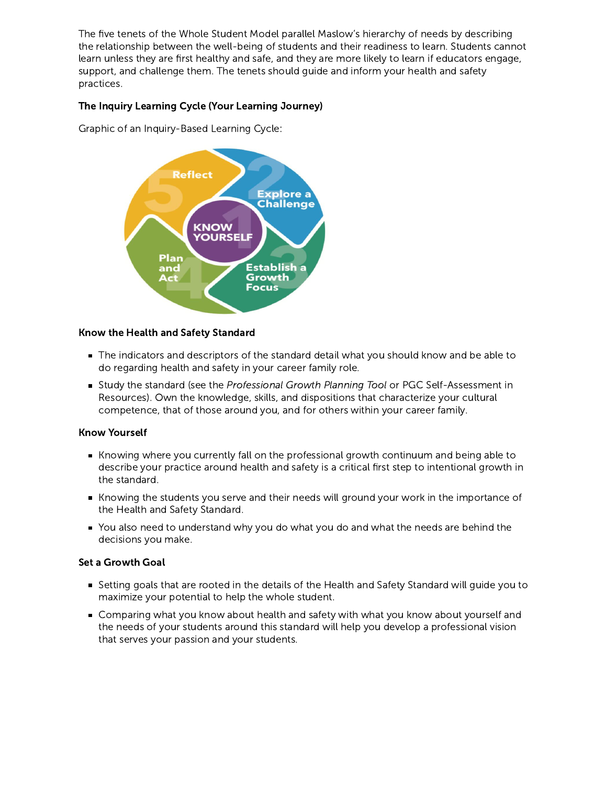The five tenets of the Whole Student Model parallel Maslow's hierarchy of needs by describing the relationship between the well-being of students and their readiness to learn. Students cannot learn unless they are first healthy and safe, and they are more likely to learn if educators engage, support, and challenge them. The tenets should guide and inform your health and safety practices.

#### The Inquiry Learning Cycle (Your Learning Journey)

Graphic of an Inquiry-Based Learning Cycle:



#### Know the Health and Safety Standard

- The indicators and descriptors of the standard detail what you should know and be able to do regarding health and safety in your career family role.
- Study the standard (see the Professional Growth Planning Tool or PGC Self-Assessment in Resources). Own the knowledge, skills, and dispositions that characterize your cultural competence, that of those around you, and for others within your career family.

#### Know Yourself

- Knowing where you currently fall on the professional growth continuum and being able to describe your practice around health and safety is a critical first step to intentional growth in the standard.
- Knowing the students you serve and their needs will ground your work in the importance of the Health and Safety Standard.
- You also need to understand why you do what you do and what the needs are behind the decisions you make.

#### Set a Growth Goal

- Setting goals that are rooted in the details of the Health and Safety Standard will guide you to maximize your potential to help the whole student.
- **Comparing what you know about health and safety with what you know about yourself and** the needs of your students around this standard will help you develop a professional vision that serves your passion and your students.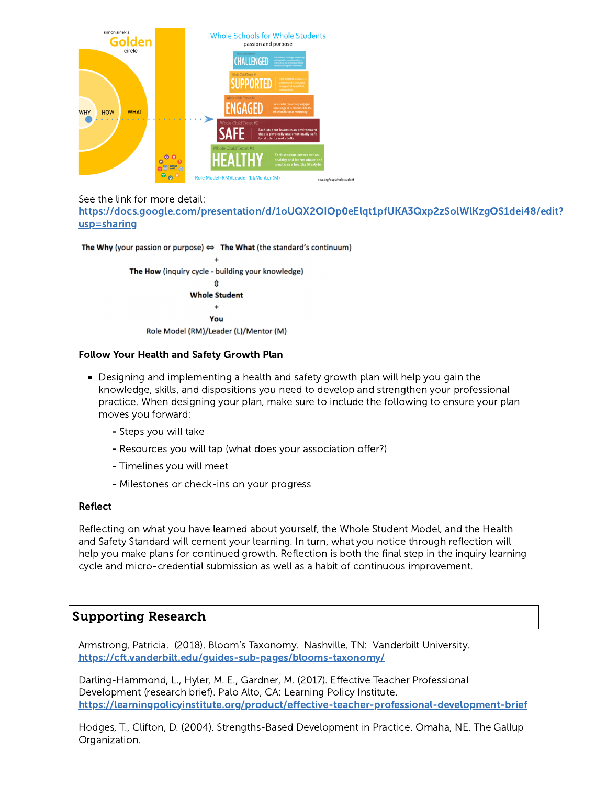

See the link for more detail:

[https://docs.google.com/presentation/d/1oUQX2OIOp0eElqt1pfUKA3Qxp2zSolWlKzgOS1dei48/edit?](https://docs.google.com/presentation/d/1oUQX2OIOp0eElqt1pfUKA3Qxp2zSolWlKzgOS1dei48/edit?usp=sharing) usp=sharing

The Why (your passion or purpose)  $\Leftrightarrow$  The What (the standard's continuum) The How (inquiry cycle - building your knowledge)  $\mathbf{r}$ **Whole Student**  $\ddot{}$ You Role Model (RM)/Leader (L)/Mentor (M)

#### Follow Your Health and Safety Growth Plan

- Designing and implementing a health and safety growth plan will help you gain the knowledge, skills, and dispositions you need to develop and strengthen your professional practice. When designing your plan, make sure to include the following to ensure your plan moves you forward:
	- Steps you will take
	- Resources you will tap (what does your association offer?)
	- Timelines you will meet
	- Milestones or check-ins on your progress

#### Reflect

Reflecting on what you have learned about yourself, the Whole Student Model, and the Health and Safety Standard will cement your learning. In turn, what you notice through reflection will help you make plans for continued growth. Reflection is both the final step in the inquiry learning cycle and micro-credential submission as well as a habit of continuous improvement.

## Supporting Research

Armstrong, Patricia. (2018). Bloom's Taxonomy. Nashville, TN: Vanderbilt University. <https://cft.vanderbilt.edu/guides-sub-pages/blooms-taxonomy/>

Darling-Hammond, L., Hyler, M. E., Gardner, M. (2017). Effective Teacher Professional Development (research brief). Palo Alto, CA: Learning Policy Institute. <https://learningpolicyinstitute.org/product/effective-teacher-professional-development-brief>

Hodges, T., Clifton, D. (2004). Strengths-Based Development in Practice. Omaha, NE. The Gallup Organization.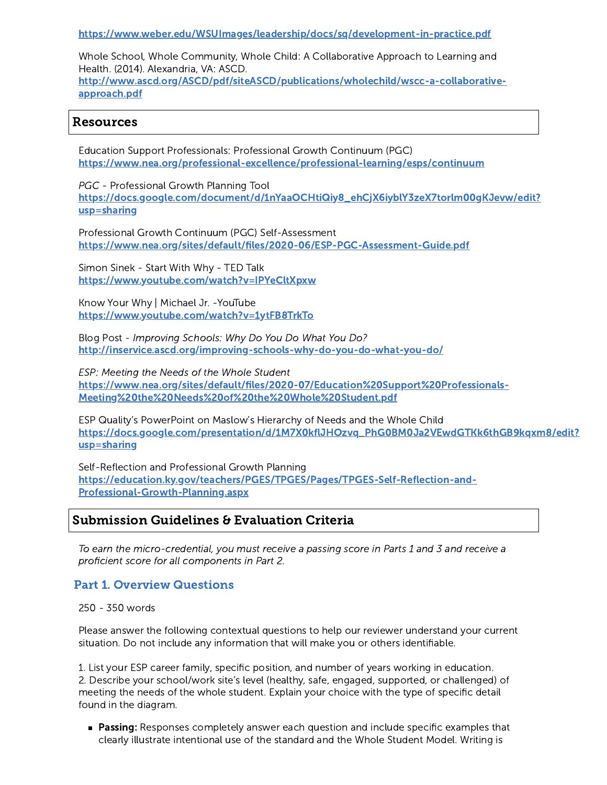<https://www.weber.edu/WSUImages/leadership/docs/sq/development-in-practice.pdf>

Whole School, Whole Community, Whole Child: A Collaborative Approach to Learning and Health. (2014). Alexandria, VA: ASCD. [http://www.ascd.org/ASCD/pdf/siteASCD/publications/wholechild/wscc-a-collaborative](http://www.ascd.org/ASCD/pdf/siteASCD/publications/wholechild/wscc-a-collaborative-approach.pdf)approach.pdf

## Resources

Education Support Professionals: Professional Growth Continuum (PGC) <https://www.nea.org/professional-excellence/professional-learning/esps/continuum>

PGC - Professional Growth Planning Tool [https://docs.google.com/document/d/1nYaaOCHtiQiy8\\_ehCjX6iyblY3zeX7torlm00gKJevw/edit?](https://docs.google.com/document/d/1nYaaOCHtiQiy8_ehCjX6iyblY3zeX7torlm00gKJevw/edit?usp=sharing) usp=sharing

Professional Growth Continuum (PGC) Self-Assessment <https://www.nea.org/sites/default/files/2020-06/ESP-PGC-Assessment-Guide.pdf>

Simon Sinek - Start With Why - TED Talk <https://www.youtube.com/watch?v=IPYeCltXpxw>

Know Your Why | Michael Jr. -YouTube <https://www.youtube.com/watch?v=1ytFB8TrkTo>

Blog Post - Improving Schools: Why Do You Do What You Do? <http://inservice.ascd.org/improving-schools-why-do-you-do-what-you-do/>

ESP: Meeting the Needs of the Whole Student [https://www.nea.org/sites/default/files/2020-07/Education%20Support%20Professionals-](https://www.nea.org/sites/default/files/2020-07/Education%20Support%20Professionals-Meeting%20the%20Needs%20of%20the%20Whole%20Student.pdf)Meeting%20the%20Needs%20of%20the%20Whole%20Student.pdf

ESP Quality's PowerPoint on Maslow's Hierarchy of Needs and the Whole Child [https://docs.google.com/presentation/d/1M7X0kflJHOzvq\\_PhG0BM0Ja2VEwdGTKk6thGB9kqxm8/edit?](https://docs.google.com/presentation/d/1M7X0kflJHOzvq_PhG0BM0Ja2VEwdGTKk6thGB9kqxm8/edit?usp=sharing) usp=sharing

Self-Reflection and Professional Growth Planning [https://education.ky.gov/teachers/PGES/TPGES/Pages/TPGES-Self-Reflection-and-](https://education.ky.gov/teachers/PGES/TPGES/Pages/TPGES-Self-Reflection-and-Professional-Growth-Planning.aspx)Professional-Growth-Planning.aspx

## Submission Guidelines & Evaluation Criteria

To earn the micro-credential, you must receive a passing score in Parts 1 and 3 and receive a proficient score for all components in Part 2.

### Part 1. Overview Questions

250 - 350 words

Please answer the following contextual questions to help our reviewer understand your current situation. Do not include any information that will make you or others identifiable.

1. List your ESP career family, specific position, and number of years working in education. 2. Describe your school/work site's level (healthy, safe, engaged, supported, or challenged) of meeting the needs of the whole student. Explain your choice with the type of specific detail found in the diagram.

**Passing:** Responses completely answer each question and include specific examples that clearly illustrate intentional use of the standard and the Whole Student Model. Writing is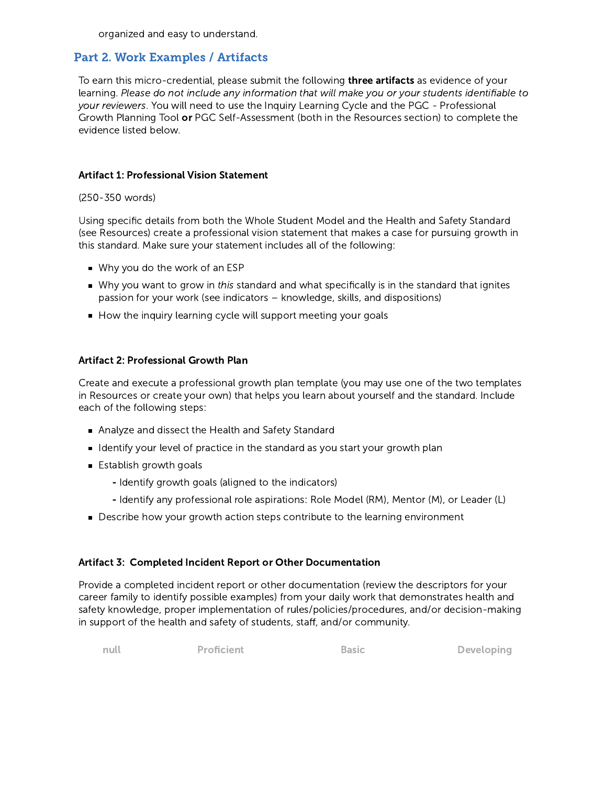organized and easy to understand.

## Part 2. Work Examples / Artifacts

To earn this micro-credential, please submit the following **three artifacts** as evidence of your learning. Please do not include any information that will make you or your students identifiable to your reviewers. You will need to use the Inquiry Learning Cycle and the PGC - Professional Growth Planning Tool or PGC Self-Assessment (both in the Resources section) to complete the evidence listed below.

#### Artifact 1: Professional Vision Statement

(250-350 words)

Using specific details from both the Whole Student Model and the Health and Safety Standard (see Resources) create a professional vision statement that makes a case for pursuing growth in this standard. Make sure your statement includes all of the following:

- Why you do the work of an ESP
- Why you want to grow in this standard and what specifically is in the standard that ignites passion for your work (see indicators – knowledge, skills, and dispositions)
- How the inquiry learning cycle will support meeting your goals

#### Artifact 2: Professional Growth Plan

Create and execute a professional growth plan template (you may use one of the two templates in Resources or create your own) that helps you learn about yourself and the standard. Include each of the following steps:

- Analyze and dissect the Health and Safety Standard
- I dentify your level of practice in the standard as you start your growth plan
- **Establish growth goals** 
	- Identify growth goals (aligned to the indicators)
	- Identify any professional role aspirations: Role Model (RM), Mentor (M), or Leader (L)
- Describe how your growth action steps contribute to the learning environment

#### Artifact 3: Completed Incident Report or Other Documentation

Provide a completed incident report or other documentation (review the descriptors for your career family to identify possible examples) from your daily work that demonstrates health and safety knowledge, proper implementation of rules/policies/procedures, and/or decision-making in support of the health and safety of students, staff, and/or community.

null **Proficient** Basic **Developing**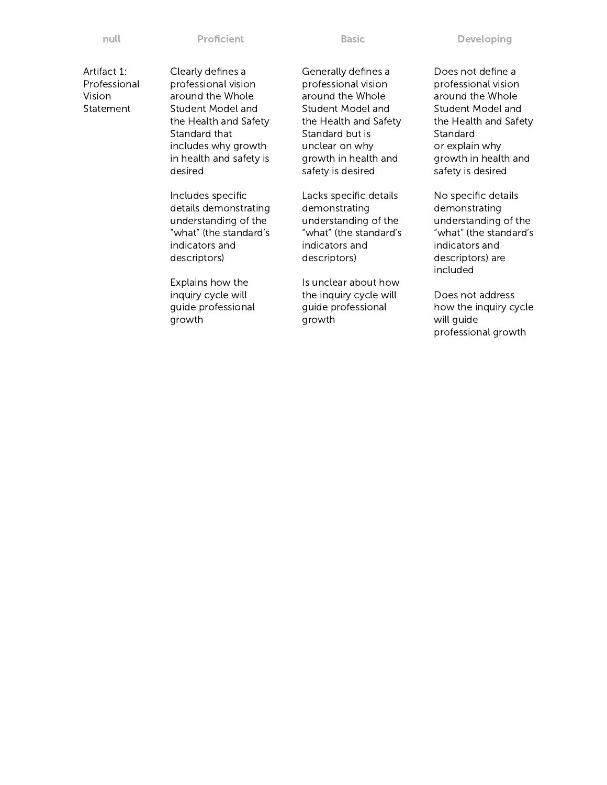null **Proficient** Basic **Developing** 

Artifact 1: Professional Vision Statement

Clearly defines a professional vision around the Whole Student Model and the Health and Safety Standard that includes why growth in health and safety is desired

Includes specific details demonstrating understanding of the "what" (the standard's indicators and descriptors)

Explains how the inquiry cycle will guide professional growth

Generally defines a professional vision around the Whole Student Model and the Health and Safety Standard but is unclear on why growth in health and safety is desired

Lacks specific details demonstrating understanding of the "what" (the standard's indicators and descriptors)

Is unclear about how the inquiry cycle will guide professional growth

Does not define a professional vision around the Whole Student Model and the Health and Safety Standard or explain why growth in health and safety is desired

No specific details demonstrating understanding of the "what" (the standard's indicators and descriptors) are included

Does not address how the inquiry cycle will guide professional growth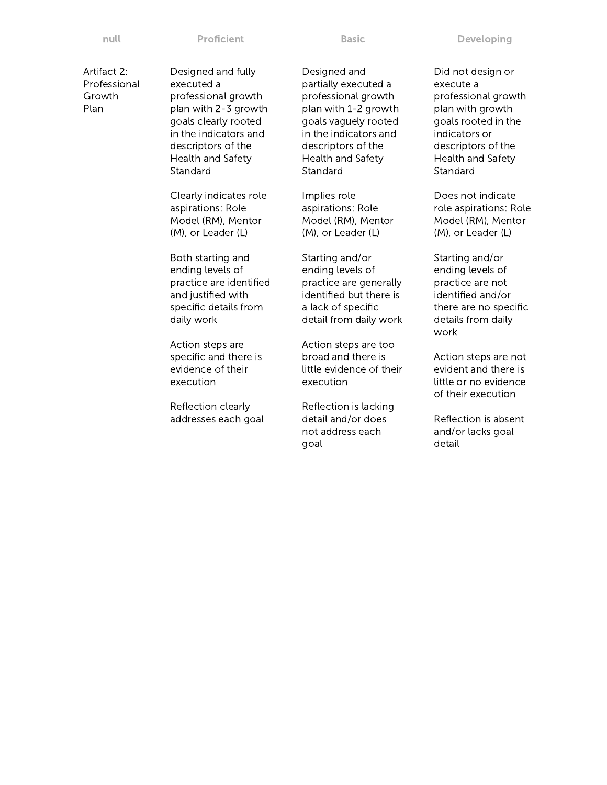| ٠  |      |  |
|----|------|--|
|    |      |  |
| __ | ____ |  |

Artifact 2: Professional Growth Plan

Designed and fully executed a professional growth plan with 2-3 growth goals clearly rooted in the indicators and descriptors of the Health and Safety Standard

Clearly indicates role aspirations: Role Model (RM), Mentor (M), or Leader (L)

Both starting and ending levels of practice are identified and justified with specific details from daily work

Action steps are specific and there is evidence of their execution

Reflection clearly addresses each goal

Designed and partially executed a professional growth plan with 1-2 growth goals vaguely rooted in the indicators and descriptors of the Health and Safety Standard

Implies role aspirations: Role Model (RM), Mentor (M), or Leader (L)

Starting and/or ending levels of practice are generally identified but there is a lack of specific detail from daily work

Action steps are too broad and there is little evidence of their execution

Reflection is lacking detail and/or does not address each goal

Did not design or execute a professional growth plan with growth goals rooted in the indicators or descriptors of the Health and Safety Standard

Does not indicate role aspirations: Role Model (RM), Mentor (M), or Leader (L)

Starting and/or ending levels of practice are not identified and/or there are no specific details from daily work

Action steps are not evident and there is little or no evidence of their execution

Reflection is absent and/or lacks goal detail